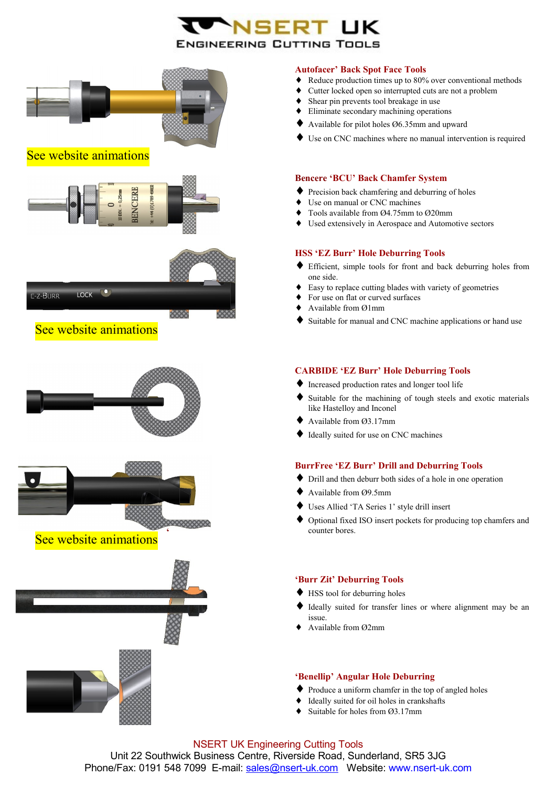# ENGINEERING CUTTING TOOLS





See website animations



#### **Autofacer' Back Spot Face Tools**

- ♦ Reduce production times up to 80% over conventional methods
- Cutter locked open so interrupted cuts are not a problem
- Shear pin prevents tool breakage in use
- Eliminate secondary machining operations
- Available for pilot holes Ø6.35mm and upward
- Use on CNC machines where no manual intervention is required

#### **Bencere 'BCU' Back Chamfer System**

- ♦ Precision back chamfering and deburring of holes
- ♦ Use on manual or CNC machines
- Tools available from  $\varnothing$ 4.75mm to  $\varnothing$ 20mm
- ♦ Used extensively in Aerospace and Automotive sectors

#### **HSS 'EZ Burr' Hole Deburring Tools**

- ♦ Efficient, simple tools for front and back deburring holes from one side.
- Easy to replace cutting blades with variety of geometries
- ♦ For use on flat or curved surfaces
- Available from Ø1mm
- Suitable for manual and CNC machine applications or hand use

#### **CARBIDE 'EZ Burr' Hole Deburring Tools**

- ♦ Increased production rates and longer tool life
- Suitable for the machining of tough steels and exotic materials like Hastelloy and Inconel
- Available from Ø3.17mm
- Ideally suited for use on CNC machines

#### **BurrFree 'EZ Burr' Drill and Deburring Tools**

- ♦ Drill and then deburr both sides of a hole in one operation
- ♦ Available from Ø9.5mm
- Uses Allied 'TA Series 1' style drill insert
- ♦ Optional fixed ISO insert pockets for producing top chamfers and counter bores.

#### **'Burr Zit' Deburring Tools**

- ♦ HSS tool for deburring holes
- Ideally suited for transfer lines or where alignment may be an issue.
- Available from Ø2mm

## **'Benellip' Angular Hole Deburring**

- ♦ Produce a uniform chamfer in the top of angled holes
- Ideally suited for oil holes in crankshafts
- $\triangleleft$  Suitable for holes from  $\varnothing$ 3.17mm

NSERT UK Engineering Cutting Tools Unit 22 Southwick Business Centre, Riverside Road, Sunderland, SR5 3JG Phone/Fax: 0191 548 7099 E-mail: [sales@nsert-uk.com](mailto:sales@bencere.co.uk)  Website: www.nsert-uk.com